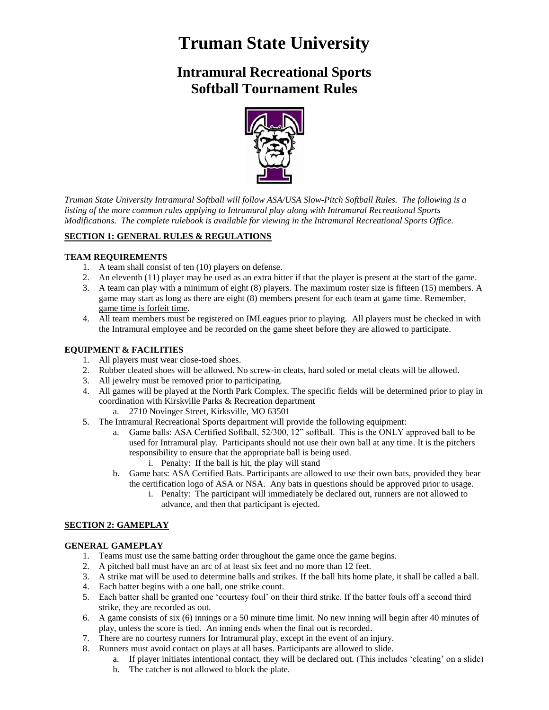# **Truman State University**

# **Intramural Recreational Sports Softball Tournament Rules**



*Truman State University Intramural Softball will follow ASA/USA Slow-Pitch Softball Rules. The following is a listing of the more common rules applying to Intramural play along with Intramural Recreational Sports Modifications. The complete rulebook is available for viewing in the Intramural Recreational Sports Office.*

# **SECTION 1: GENERAL RULES & REGULATIONS**

#### **TEAM REQUIREMENTS**

- 1. A team shall consist of ten (10) players on defense.
- 2. An eleventh (11) player may be used as an extra hitter if that the player is present at the start of the game.
- 3. A team can play with a minimum of eight (8) players. The maximum roster size is fifteen (15) members. A game may start as long as there are eight (8) members present for each team at game time. Remember, game time is forfeit time.
- 4. All team members must be registered on IMLeagues prior to playing. All players must be checked in with the Intramural employee and be recorded on the game sheet before they are allowed to participate.

## **EQUIPMENT & FACILITIES**

- 1. All players must wear close-toed shoes.
- 2. Rubber cleated shoes will be allowed. No screw-in cleats, hard soled or metal cleats will be allowed.
- 3. All jewelry must be removed prior to participating.
- 4. All games will be played at the North Park Complex. The specific fields will be determined prior to play in coordination with Kirskville Parks & Recreation department
	- a. 2710 Novinger Street, Kirksville, MO 63501
- 5. The Intramural Recreational Sports department will provide the following equipment:
	- a. Game balls: ASA Certified Softball, 52/300, 12" softball. This is the ONLY approved ball to be used for Intramural play. Participants should not use their own ball at any time. It is the pitchers responsibility to ensure that the appropriate ball is being used.
		- i. Penalty: If the ball is hit, the play will stand
	- b. Game bats: ASA Certified Bats. Participants are allowed to use their own bats, provided they bear the certification logo of ASA or NSA. Any bats in questions should be approved prior to usage.
		- i. Penalty: The participant will immediately be declared out, runners are not allowed to advance, and then that participant is ejected.

## **SECTION 2: GAMEPLAY**

#### **GENERAL GAMEPLAY**

- 1. Teams must use the same batting order throughout the game once the game begins.
- 2. A pitched ball must have an arc of at least six feet and no more than 12 feet.
- 3. A strike mat will be used to determine balls and strikes. If the ball hits home plate, it shall be called a ball.
- 4. Each batter begins with a one ball, one strike count.
- 5. Each batter shall be granted one 'courtesy foul' on their third strike. If the batter fouls off a second third strike, they are recorded as out.
- 6. A game consists of six (6) innings or a 50 minute time limit. No new inning will begin after 40 minutes of play, unless the score is tied. An inning ends when the final out is recorded.
- 7. There are no courtesy runners for Intramural play, except in the event of an injury.
- 8. Runners must avoid contact on plays at all bases. Participants are allowed to slide.
	- a. If player initiates intentional contact, they will be declared out. (This includes 'cleating' on a slide)
	- b. The catcher is not allowed to block the plate.